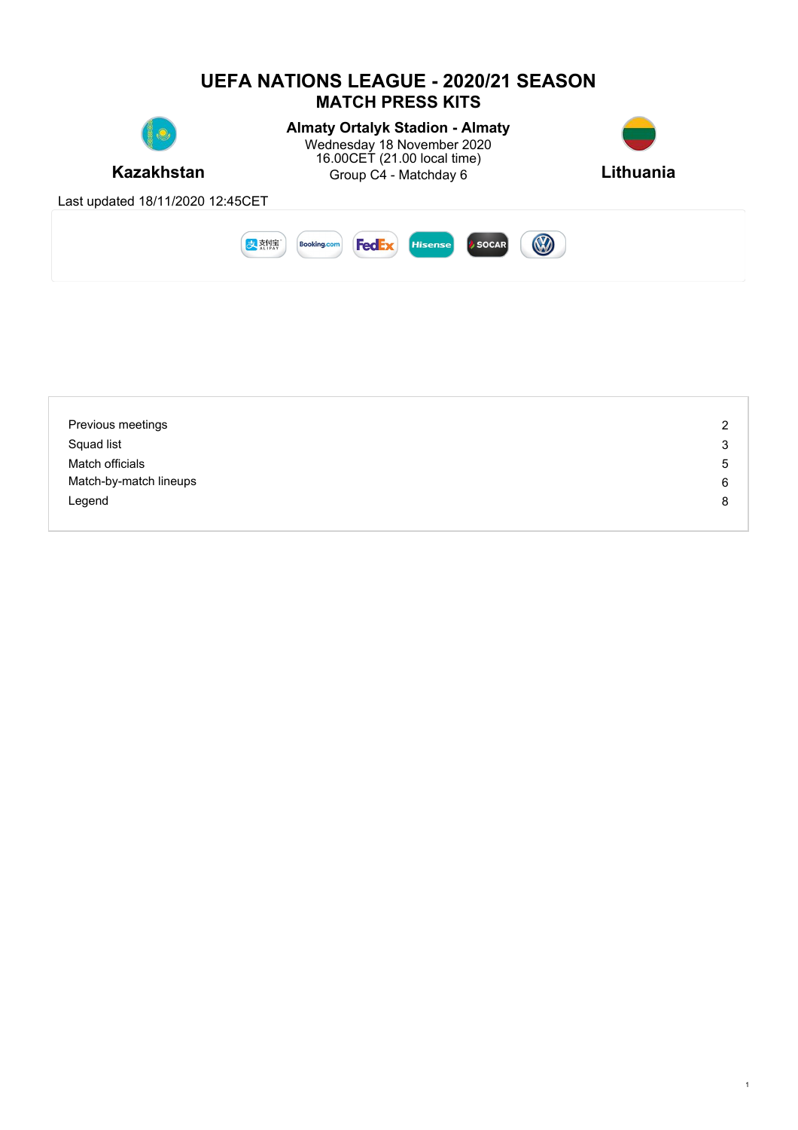

| Previous meetings      | $\overline{2}$ |
|------------------------|----------------|
| Squad list             | 3              |
| Match officials        | 5              |
| Match-by-match lineups | 6              |
| Legend                 | 8              |
|                        |                |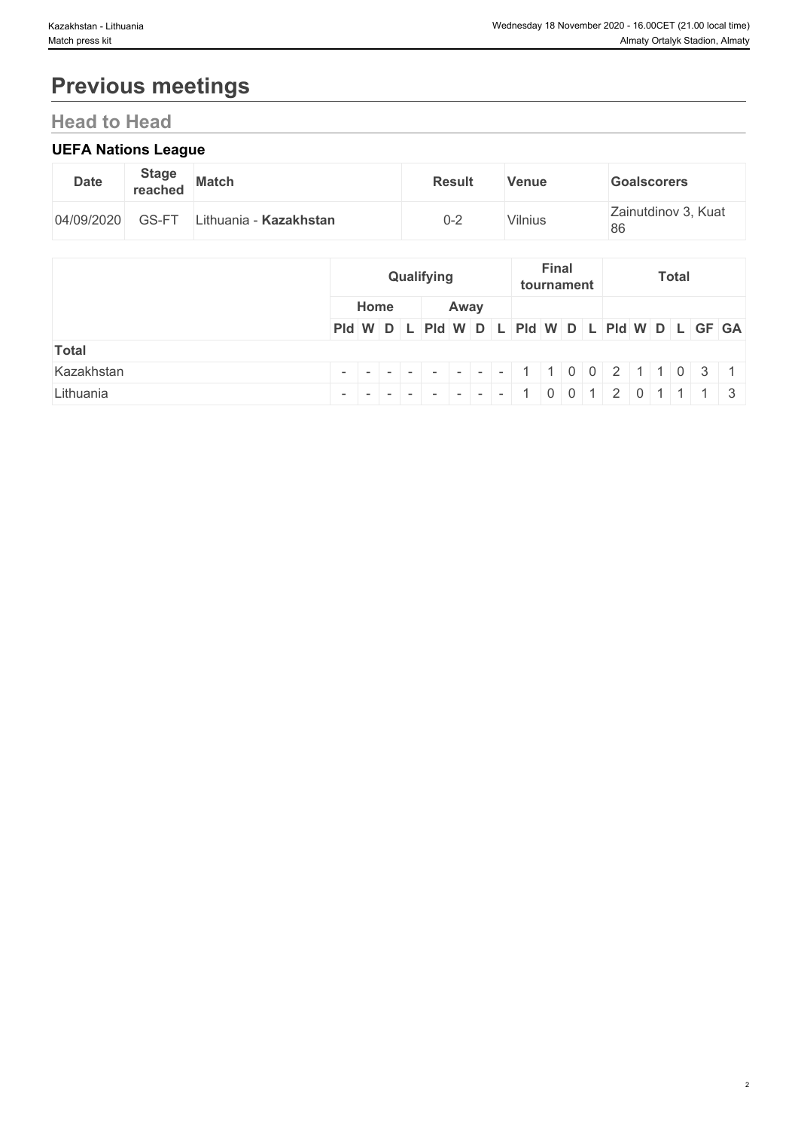# **Previous meetings**

# **Head to Head**

# **UEFA Nations League**

| <b>Date</b> | <b>Stage</b><br>reached | <b>Match</b>           | <b>Result</b> | <b>Venue</b> | <b>Goalscorers</b>        |
|-------------|-------------------------|------------------------|---------------|--------------|---------------------------|
| 04/09/2020  | GS-FT                   | Lithuania - Kazakhstan | 0-2           | Vilnius      | Zainutdinov 3, Kuat<br>86 |

|              |                                               | Qualifying |  |      |  |  | <b>Final</b><br>tournament |  |  | <b>Total</b> |  |  |  |  |  |  |
|--------------|-----------------------------------------------|------------|--|------|--|--|----------------------------|--|--|--------------|--|--|--|--|--|--|
|              | Home                                          |            |  | Away |  |  |                            |  |  |              |  |  |  |  |  |  |
|              | Pid W D L Pid W D L Pid W D L Pid W D L GF GA |            |  |      |  |  |                            |  |  |              |  |  |  |  |  |  |
| <b>Total</b> |                                               |            |  |      |  |  |                            |  |  |              |  |  |  |  |  |  |
| Kazakhstan   |                                               |            |  |      |  |  |                            |  |  |              |  |  |  |  |  |  |
| Lithuania    | $- - - - - - - - $ 1 0 0 1 2 0 1 1 1 3        |            |  |      |  |  |                            |  |  |              |  |  |  |  |  |  |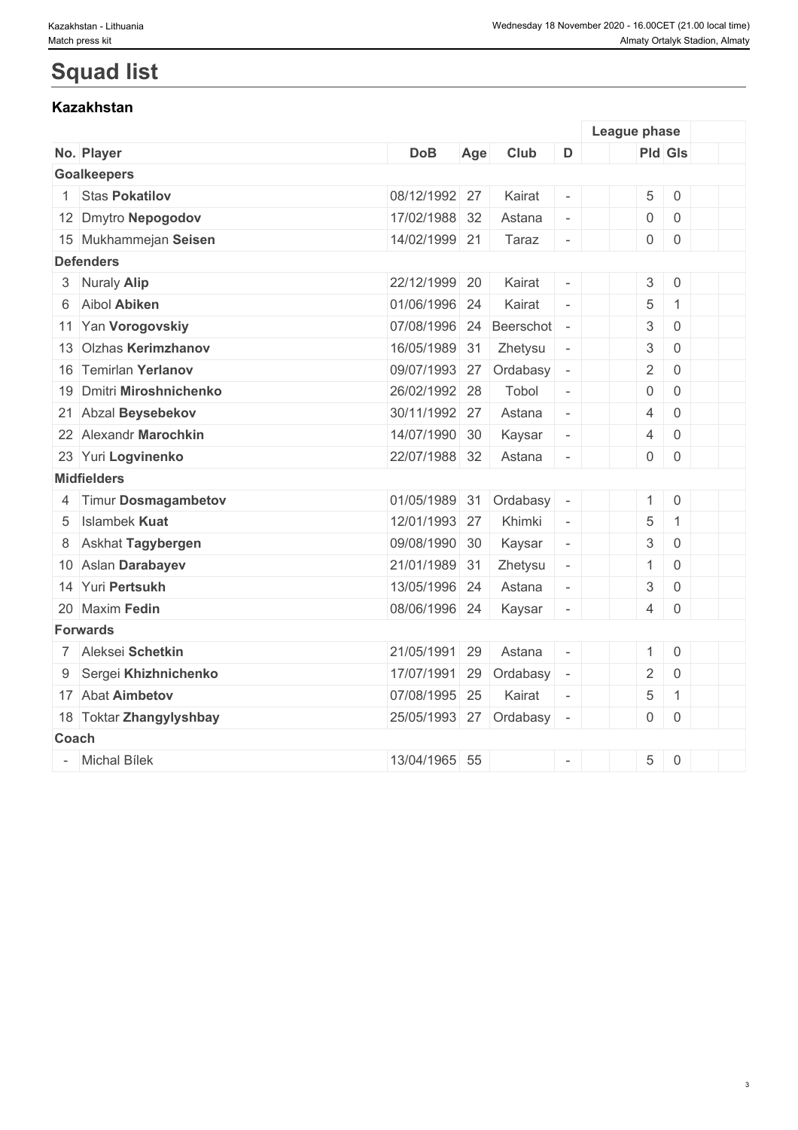# **Squad list**

# **Kazakhstan**

|       |                          |                        |     |           |                          | League phase              |                     |  |
|-------|--------------------------|------------------------|-----|-----------|--------------------------|---------------------------|---------------------|--|
|       | No. Player               | <b>DoB</b>             | Age | Club      | D                        |                           | <b>Pld Gls</b>      |  |
|       | <b>Goalkeepers</b>       |                        |     |           |                          |                           |                     |  |
|       | <b>Stas Pokatilov</b>    | 08/12/1992 27          |     | Kairat    | $\equiv$                 | 5                         | $\mathbf 0$         |  |
|       | 12 Dmytro Nepogodov      | 17/02/1988 32          |     | Astana    | $\equiv$                 | $\mathsf{O}\xspace$       | $\mathbf 0$         |  |
|       | 15 Mukhammejan Seisen    | 14/02/1999 21          |     | Taraz     | $\bar{\phantom{a}}$      | $\overline{0}$            | $\mathbf 0$         |  |
|       | <b>Defenders</b>         |                        |     |           |                          |                           |                     |  |
|       | 3 Nuraly Alip            | 22/12/1999 20          |     | Kairat    | $\overline{\phantom{a}}$ | $\mathfrak{S}$            | $\mathsf{O}$        |  |
|       | 6 Aibol Abiken           | 01/06/1996 24          |     | Kairat    | $\sim$                   | 5                         | $\mathbf{1}$        |  |
|       | 11 Yan Vorogovskiy       | 07/08/1996 24          |     | Beerschot | $\overline{\phantom{a}}$ | $\sqrt{3}$                | $\mathbf 0$         |  |
|       | 13 Olzhas Kerimzhanov    | 16/05/1989             | 31  | Zhetysu   | $\overline{\phantom{a}}$ | $\mathfrak{S}$            | $\mathbf 0$         |  |
|       | 16 Temirlan Yerlanov     | 09/07/1993 27          |     | Ordabasy  | $\overline{\phantom{a}}$ | $\sqrt{2}$                | $\mathbf 0$         |  |
|       | 19 Dmitri Miroshnichenko | 26/02/1992 28          |     | Tobol     | $\overline{\phantom{a}}$ | $\mathbf 0$               | $\mathbf 0$         |  |
|       | 21 Abzal Beysebekov      | 30/11/1992 27          |     | Astana    | $\overline{\phantom{a}}$ | $\overline{4}$            | $\mathbf 0$         |  |
|       | 22 Alexandr Marochkin    | 14/07/1990 30          |     | Kaysar    | $\overline{\phantom{a}}$ | $\overline{4}$            | $\mathbf 0$         |  |
|       | 23 Yuri Logvinenko       | 22/07/1988 32          |     | Astana    | $\overline{\phantom{a}}$ | $\mathsf{O}$              | $\mathbf 0$         |  |
|       | <b>Midfielders</b>       |                        |     |           |                          |                           |                     |  |
|       | 4 Timur Dosmagambetov    | 01/05/1989 31          |     | Ordabasy  | $\overline{\phantom{a}}$ | $\mathbf{1}$              | $\mathsf{O}\xspace$ |  |
| 5     | <b>Islambek Kuat</b>     | 12/01/1993 27          |     | Khimki    | $\sim$                   | 5                         | $\mathbf{1}$        |  |
| 8     | Askhat Tagybergen        | 09/08/1990 30          |     | Kaysar    | $\overline{\phantom{a}}$ | $\sqrt{3}$                | $\mathbf 0$         |  |
|       | 10 Aslan Darabayev       | 21/01/1989 31          |     | Zhetysu   | $\overline{\phantom{a}}$ | $\mathbf{1}$              | $\mathbf 0$         |  |
|       | 14 Yuri Pertsukh         | 13/05/1996 24          |     | Astana    | $\overline{\phantom{a}}$ | $\ensuremath{\mathbf{3}}$ | $\mathbf 0$         |  |
|       | 20 Maxim Fedin           | 08/06/1996 24          |     | Kaysar    | $\overline{a}$           | $\overline{4}$            | $\mathbf 0$         |  |
|       | <b>Forwards</b>          |                        |     |           |                          |                           |                     |  |
|       | 7 Aleksei Schetkin       | 21/05/1991             | 29  | Astana    |                          | $\mathbf{1}$              | $\mathsf{O}\xspace$ |  |
| 9     | Sergei Khizhnichenko     | 17/07/1991 29          |     | Ordabasy  | $\overline{\phantom{a}}$ | $\overline{2}$            | $\mathsf{O}\xspace$ |  |
|       | 17 Abat Aimbetov         | 07/08/1995 25          |     | Kairat    | $\sim$                   | 5                         | $\mathbf{1}$        |  |
|       | 18 Toktar Zhangylyshbay  | 25/05/1993 27 Ordabasy |     |           | $\overline{\phantom{a}}$ | $\overline{0}$            | $\mathbf 0$         |  |
| Coach |                          |                        |     |           |                          |                           |                     |  |
|       | - Michal Bílek           | 13/04/1965 55          |     |           | $\overline{\phantom{a}}$ | $\,$ 5 $\,$               | $\boldsymbol{0}$    |  |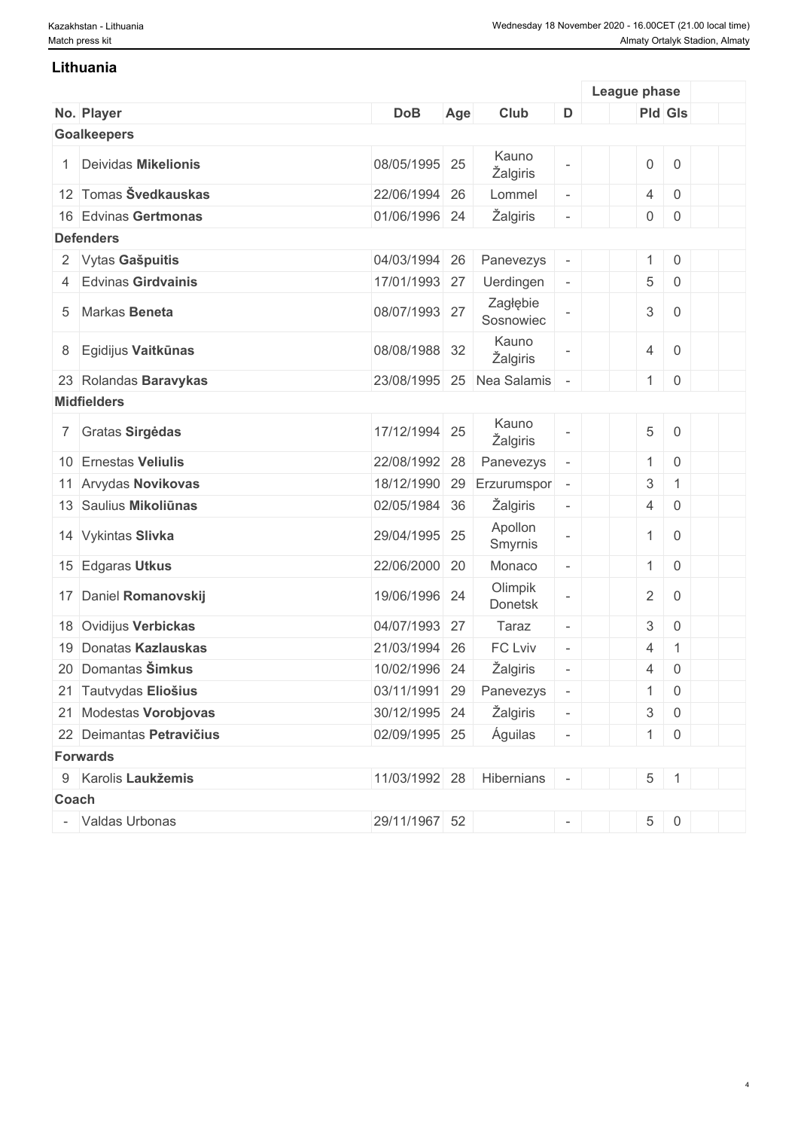### **Lithuania**

|       |                          |               |     |                          |                          | League phase              |                     |  |
|-------|--------------------------|---------------|-----|--------------------------|--------------------------|---------------------------|---------------------|--|
|       | No. Player               | <b>DoB</b>    | Age | Club                     | D                        |                           | <b>Pld Gls</b>      |  |
|       | <b>Goalkeepers</b>       |               |     |                          |                          |                           |                     |  |
|       | Deividas Mikelionis      | 08/05/1995 25 |     | Kauno<br>Žalgiris        |                          | $\mathsf{O}\xspace$       | $\mathsf 0$         |  |
|       | 12 Tomas Švedkauskas     | 22/06/1994 26 |     | Lommel                   | $\overline{\phantom{a}}$ | $\overline{4}$            | $\mathbf 0$         |  |
|       | 16 Edvinas Gertmonas     | 01/06/1996 24 |     | Žalgiris                 | $\overline{a}$           | $\overline{0}$            | $\mathsf{O}\xspace$ |  |
|       | <b>Defenders</b>         |               |     |                          |                          |                           |                     |  |
|       | 2 Vytas Gašpuitis        | 04/03/1994    | 26  | Panevezys                | $\overline{\phantom{a}}$ | $\mathbf{1}$              | $\mathsf{O}\xspace$ |  |
|       | 4 Edvinas Girdvainis     | 17/01/1993 27 |     | Uerdingen                | $\blacksquare$           | 5                         | $\mathsf{O}\xspace$ |  |
|       | 5 Markas Beneta          | 08/07/1993 27 |     | Zagłębie<br>Sosnowiec    |                          | 3                         | $\mathbf 0$         |  |
| 8     | Egidijus Vaitkūnas       | 08/08/1988 32 |     | Kauno<br>Žalgiris        |                          | $\overline{4}$            | $\boldsymbol{0}$    |  |
|       | 23 Rolandas Baravykas    | 23/08/1995    | 25  | Nea Salamis              |                          | $\mathbf{1}$              | $\mathsf 0$         |  |
|       | <b>Midfielders</b>       |               |     |                          |                          |                           |                     |  |
|       | 7 Gratas Sirgedas        | 17/12/1994 25 |     | Kauno<br>Žalgiris        |                          | $\sqrt{5}$                | $\mathsf{O}\xspace$ |  |
|       | 10 Ernestas Veliulis     | 22/08/1992    | 28  | Panevezys                |                          | $\mathbf{1}$              | $\mathsf{O}\xspace$ |  |
|       | 11 Arvydas Novikovas     | 18/12/1990    | 29  | Erzurumspor              | $\overline{\phantom{a}}$ | $\ensuremath{\mathsf{3}}$ | 1                   |  |
|       | 13 Saulius Mikoliūnas    | 02/05/1984 36 |     | Žalgiris                 | $\overline{\phantom{a}}$ | $\overline{4}$            | $\overline{0}$      |  |
|       | 14 Vykintas Slivka       | 29/04/1995 25 |     | Apollon<br>Smyrnis       |                          | $\mathbf{1}$              | $\mathsf 0$         |  |
|       | 15 Edgaras Utkus         | 22/06/2000 20 |     | Monaco                   | $\overline{\phantom{a}}$ | $\mathbf{1}$              | $\mathsf{O}\xspace$ |  |
|       | 17 Daniel Romanovskij    | 19/06/1996 24 |     | Olimpik<br>Donetsk       |                          | $\overline{2}$            | $\mathbf 0$         |  |
|       | 18 Ovidijus Verbickas    | 04/07/1993 27 |     | Taraz                    | $\overline{\phantom{a}}$ | 3                         | $\overline{0}$      |  |
|       | 19 Donatas Kazlauskas    | 21/03/1994 26 |     | FC Lviv                  | $\overline{\phantom{a}}$ | $\overline{4}$            | $\mathbf{1}$        |  |
|       | 20 Domantas Šimkus       | 10/02/1996 24 |     | Žalgiris                 | $\overline{\phantom{0}}$ | $\overline{4}$            | $\mathsf{O}\xspace$ |  |
|       | 21 Tautvydas Eliošius    | 03/11/1991 29 |     | Panevezys                | $\overline{\phantom{a}}$ | 1                         | $\mathbf 0$         |  |
|       | 21 Modestas Vorobjovas   | 30/12/1995 24 |     | Žalgiris                 |                          | $\mathfrak{S}$            | $\,0\,$             |  |
|       | 22 Deimantas Petravičius | 02/09/1995 25 |     | Águilas                  | $\overline{\phantom{a}}$ |                           | $1 \ 0$             |  |
|       | <b>Forwards</b>          |               |     |                          |                          |                           |                     |  |
|       | 9 Karolis Laukžemis      |               |     | 11/03/1992 28 Hibernians |                          |                           | $5 \mid 1$          |  |
| Coach |                          |               |     |                          |                          |                           |                     |  |
|       | - Valdas Urbonas         | 29/11/1967 52 |     |                          | $\overline{\phantom{a}}$ |                           | $5 \ 0$             |  |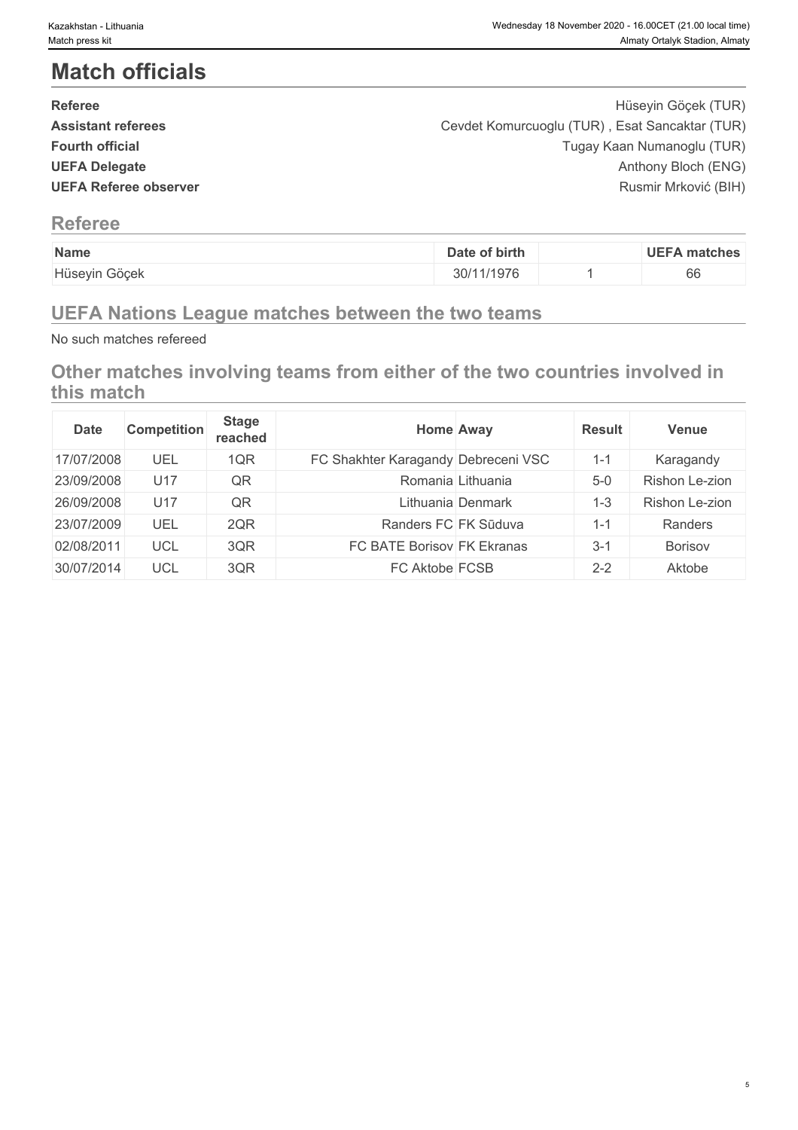# **Match officials**

| <b>Referee</b>               | Hüseyin Göçek (TUR)                            |
|------------------------------|------------------------------------------------|
| <b>Assistant referees</b>    | Cevdet Komurcuoglu (TUR), Esat Sancaktar (TUR) |
| <b>Fourth official</b>       | Tugay Kaan Numanoglu (TUR)                     |
| <b>UEFA Delegate</b>         | Anthony Bloch (ENG)                            |
| <b>UEFA Referee observer</b> | Rusmir Mrković (BIH)                           |
|                              |                                                |

# **Referee**

| Name          | of birth<br>Date | <b>UEFA matches</b> |
|---------------|------------------|---------------------|
| Hüseyin Göçek | 1/1976           | $\sim$<br>bb        |

# **UEFA Nations League matches between the two teams**

No such matches refereed

**Other matches involving teams from either of the two countries involved in this match**

| <b>Date</b> | <b>Competition</b> | <b>Stage</b><br>reached | <b>Home Away</b>                    | <b>Result</b> | <b>Venue</b>   |
|-------------|--------------------|-------------------------|-------------------------------------|---------------|----------------|
| 17/07/2008  | UEL                | 1QR                     | FC Shakhter Karagandy Debreceni VSC | $1 - 1$       | Karagandy      |
| 23/09/2008  | U17                | QR                      | Romania Lithuania                   | $5-0$         | Rishon Le-zion |
| 26/09/2008  | U17                | QR                      | Lithuania Denmark                   | -3            | Rishon Le-zion |
| 23/07/2009  | UEL                | 2QR                     | Randers FC FK Sūduva                | $1 - 1$       | Randers        |
| 02/08/2011  | UCL                | 3QR                     | FC BATE Borisov FK Ekranas          | $3 - 1$       | <b>Borisov</b> |
| 30/07/2014  | <b>UCL</b>         | 3QR                     | FC Aktobe FCSB                      | $2 - 2$       | Aktobe         |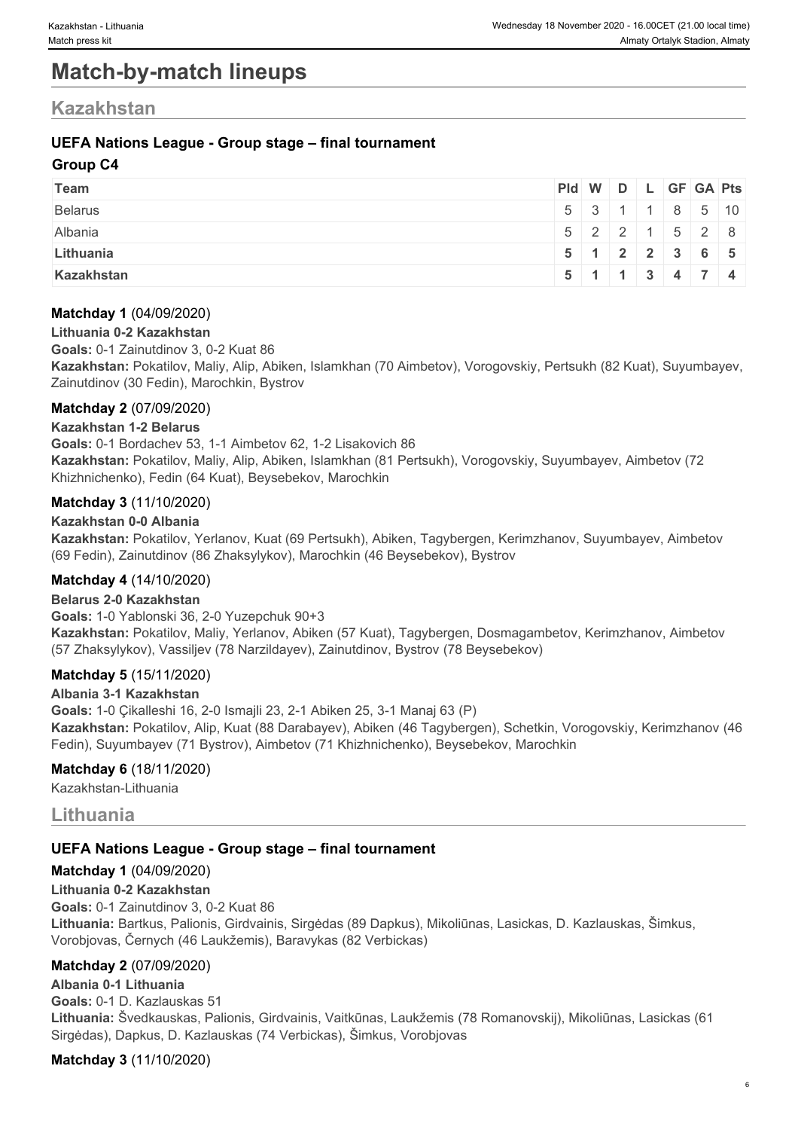# **Match-by-match lineups**

# **Kazakhstan**

## **UEFA Nations League - Group stage – final tournament**

## **Group C4**

| Team           | $PId \mid W \mid D \mid L \mid GF \mid GA \mid Pts \mid$ |  |  |                                                     |  |
|----------------|----------------------------------------------------------|--|--|-----------------------------------------------------|--|
| <b>Belarus</b> |                                                          |  |  | $5 \mid 3 \mid 1 \mid 1 \mid 8 \mid 5 \mid 10 \mid$ |  |
| Albania        |                                                          |  |  | $5$   2   2   1   5   2   8                         |  |
| Lithuania      |                                                          |  |  | $5$ 1 2 2 3 6 5                                     |  |
| Kazakhstan     |                                                          |  |  | $5 \mid 1 \mid 1 \mid 3 \mid 4 \mid 7 \mid 4$       |  |

## **Matchday 1** (04/09/2020)

#### **Lithuania 0-2 Kazakhstan**

**Goals:** 0-1 Zainutdinov 3, 0-2 Kuat 86

**Kazakhstan:** Pokatilov, Maliy, Alip, Abiken, Islamkhan (70 Aimbetov), Vorogovskiy, Pertsukh (82 Kuat), Suyumbayev, Zainutdinov (30 Fedin), Marochkin, Bystrov

### **Matchday 2** (07/09/2020)

#### **Kazakhstan 1-2 Belarus**

**Goals:** 0-1 Bordachev 53, 1-1 Aimbetov 62, 1-2 Lisakovich 86 **Kazakhstan:** Pokatilov, Maliy, Alip, Abiken, Islamkhan (81 Pertsukh), Vorogovskiy, Suyumbayev, Aimbetov (72 Khizhnichenko), Fedin (64 Kuat), Beysebekov, Marochkin

### **Matchday 3** (11/10/2020)

#### **Kazakhstan 0-0 Albania**

**Kazakhstan:** Pokatilov, Yerlanov, Kuat (69 Pertsukh), Abiken, Tagybergen, Kerimzhanov, Suyumbayev, Aimbetov (69 Fedin), Zainutdinov (86 Zhaksylykov), Marochkin (46 Beysebekov), Bystrov

## **Matchday 4** (14/10/2020)

**Belarus 2-0 Kazakhstan Goals:** 1-0 Yablonski 36, 2-0 Yuzepchuk 90+3 **Kazakhstan:** Pokatilov, Maliy, Yerlanov, Abiken (57 Kuat), Tagybergen, Dosmagambetov, Kerimzhanov, Aimbetov (57 Zhaksylykov), Vassiljev (78 Narzildayev), Zainutdinov, Bystrov (78 Beysebekov)

## **Matchday 5** (15/11/2020)

#### **Albania 3-1 Kazakhstan**

**Goals:** 1-0 Çikalleshi 16, 2-0 Ismajli 23, 2-1 Abiken 25, 3-1 Manaj 63 (P) **Kazakhstan:** Pokatilov, Alip, Kuat (88 Darabayev), Abiken (46 Tagybergen), Schetkin, Vorogovskiy, Kerimzhanov (46 Fedin), Suyumbayev (71 Bystrov), Aimbetov (71 Khizhnichenko), Beysebekov, Marochkin

#### **Matchday 6** (18/11/2020)

Kazakhstan-Lithuania

## **Lithuania**

## **UEFA Nations League - Group stage – final tournament**

## **Matchday 1** (04/09/2020)

**Lithuania 0-2 Kazakhstan Goals:** 0-1 Zainutdinov 3, 0-2 Kuat 86 **Lithuania:** Bartkus, Palionis, Girdvainis, Sirgėdas (89 Dapkus), Mikoliūnas, Lasickas, D. Kazlauskas, Šimkus, Vorobjovas, Černych (46 Laukžemis), Baravykas (82 Verbickas)

## **Matchday 2** (07/09/2020)

## **Albania 0-1 Lithuania**

**Goals:** 0-1 D. Kazlauskas 51 **Lithuania:** Švedkauskas, Palionis, Girdvainis, Vaitkūnas, Laukžemis (78 Romanovskij), Mikoliūnas, Lasickas (61 Sirgėdas), Dapkus, D. Kazlauskas (74 Verbickas), Šimkus, Vorobjovas

#### **Matchday 3** (11/10/2020)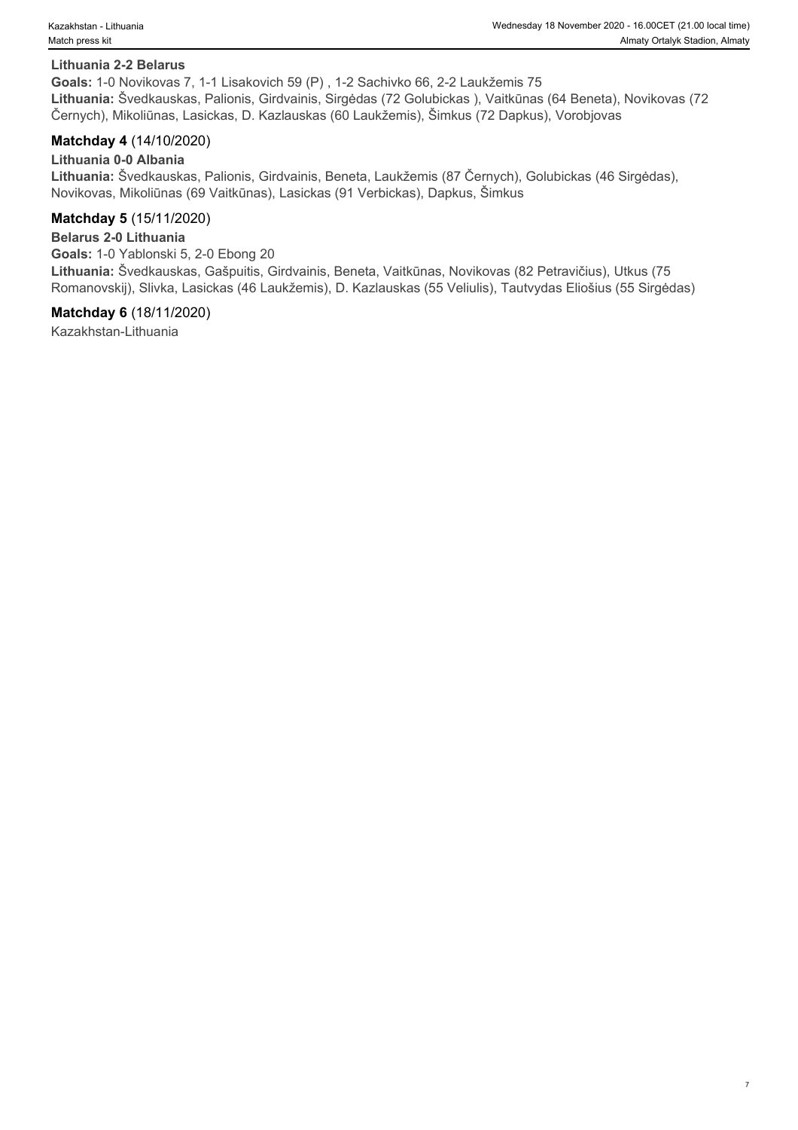#### **Lithuania 2-2 Belarus**

**Goals:** 1-0 Novikovas 7, 1-1 Lisakovich 59 (P) , 1-2 Sachivko 66, 2-2 Laukžemis 75 **Lithuania:** Švedkauskas, Palionis, Girdvainis, Sirgėdas (72 Golubickas ), Vaitkūnas (64 Beneta), Novikovas (72 Černych), Mikoliūnas, Lasickas, D. Kazlauskas (60 Laukžemis), Šimkus (72 Dapkus), Vorobjovas

#### **Matchday 4** (14/10/2020)

**Lithuania 0-0 Albania Lithuania:** Švedkauskas, Palionis, Girdvainis, Beneta, Laukžemis (87 Černych), Golubickas (46 Sirgėdas), Novikovas, Mikoliūnas (69 Vaitkūnas), Lasickas (91 Verbickas), Dapkus, Šimkus

#### **Matchday 5** (15/11/2020)

#### **Belarus 2-0 Lithuania**

**Goals:** 1-0 Yablonski 5, 2-0 Ebong 20 **Lithuania:** Švedkauskas, Gašpuitis, Girdvainis, Beneta, Vaitkūnas, Novikovas (82 Petravičius), Utkus (75 Romanovskij), Slivka, Lasickas (46 Laukžemis), D. Kazlauskas (55 Veliulis), Tautvydas Eliošius (55 Sirgėdas)

#### **Matchday 6** (18/11/2020)

Kazakhstan-Lithuania